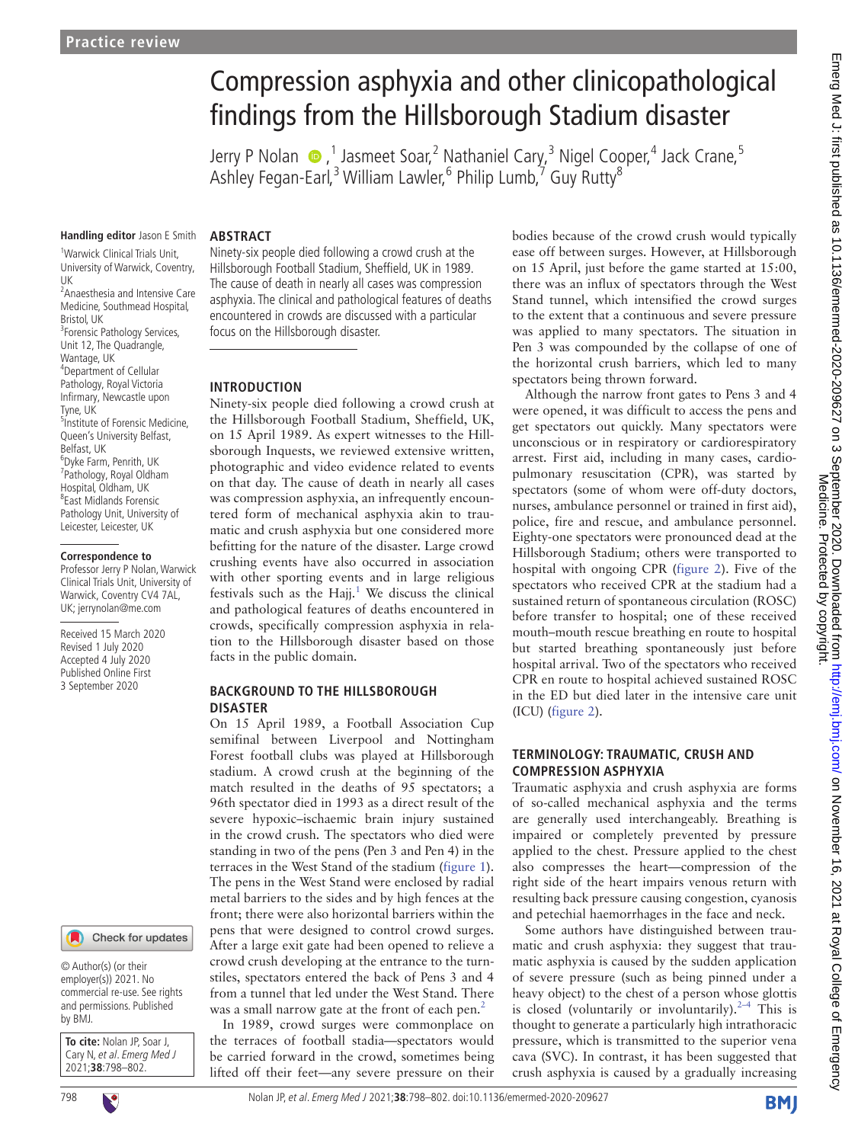# Compression asphyxia and other clinicopathological findings from the Hillsborough Stadium disaster

Jerry P Nolan  $\bullet$  ,<sup>1</sup> Jasmeet Soar,<sup>2</sup> Nathaniel Cary,<sup>3</sup> Nigel Cooper,<sup>4</sup> Jack Crane,<sup>5</sup> Ashley Fegan-Earl,<sup>3</sup> William Lawler,<sup>6</sup> Philip Lumb,<sup>7</sup> Guy Rutty<sup>8</sup>

#### **Handling editor** Jason E Smith

1 Warwick Clinical Trials Unit, University of Warwick, Coventry, UK <sup>2</sup> Anaesthesia and Intensive Care Medicine, Southmead Hospital, Bristol, UK 3 Forensic Pathology Services, Unit 12, The Quadrangle, Wantage, UK 4 Department of Cellular Pathology, Royal Victoria Infirmary, Newcastle upon Tyne, UK 5 Institute of Forensic Medicine, Queen's University Belfast, Belfast, UK 6 Dyke Farm, Penrith, UK <sup>7</sup> Pathology, Royal Oldham Hospital, Oldham, UK 8 East Midlands Forensic Pathology Unit, University of Leicester, Leicester, UK

#### **Correspondence to**

Professor Jerry P Nolan, Warwick Clinical Trials Unit, University of Warwick, Coventry CV4 7AL, UK; jerrynolan@me.com

Received 15 March 2020 Revised 1 July 2020 Accepted 4 July 2020 Published Online First 3 September 2020



© Author(s) (or their employer(s)) 2021. No commercial re-use. See rights and permissions. Published by BMJ.

**To cite:** Nolan JP, Soar J, Cary N, et al. Emerg Med J 2021;**38**:798–802.

# **Abstract**

Ninety-six people died following a crowd crush at the Hillsborough Football Stadium, Sheffield, UK in 1989. The cause of death in nearly all cases was compression asphyxia. The clinical and pathological features of deaths encountered in crowds are discussed with a particular focus on the Hillsborough disaster.

#### **Introduction**

Ninety-six people died following a crowd crush at the Hillsborough Football Stadium, Sheffield, UK, on 15 April 1989. As expert witnesses to the Hillsborough Inquests, we reviewed extensive written, photographic and video evidence related to events on that day. The cause of death in nearly all cases was compression asphyxia, an infrequently encountered form of mechanical asphyxia akin to traumatic and crush asphyxia but one considered more befitting for the nature of the disaster. Large crowd crushing events have also occurred in association with other sporting events and in large religious festivals such as the Hajj. $<sup>1</sup>$  We discuss the clinical</sup> and pathological features of deaths encountered in crowds, specifically compression asphyxia in relation to the Hillsborough disaster based on those facts in the public domain.

#### **Background to the Hillsborough disaster**

On 15 April 1989, a Football Association Cup semifinal between Liverpool and Nottingham Forest football clubs was played at Hillsborough stadium. A crowd crush at the beginning of the match resulted in the deaths of 95 spectators; a 96th spectator died in 1993 as a direct result of the severe hypoxic–ischaemic brain injury sustained in the crowd crush. The spectators who died were standing in two of the pens (Pen 3 and Pen 4) in the terraces in the West Stand of the stadium (figure 1). The pens in the West Stand were enclosed by radial metal barriers to the sides and by high fences at the front; there were also horizontal barriers within the pens that were designed to control crowd surges. After a large exit gate had been opened to relieve a crowd crush developing at the entrance to the turnstiles, spectators entered the back of Pens 3 and 4 from a tunnel that led under the West Stand. There was a small narrow gate at the front of each pen.<sup>2</sup>

In 1989, crowd surges were commonplace on the terraces of football stadia—spectators would be carried forward in the crowd, sometimes being lifted off their feet—any severe pressure on their bodies because of the crowd crush would typically ease off between surges. However, at Hillsborough on 15 April, just before the game started at 15:00, there was an influx of spectators through the West Stand tunnel, which intensified the crowd surges to the extent that a continuous and severe pressure was applied to many spectators. The situation in Pen 3 was compounded by the collapse of one of the horizontal crush barriers, which led to many spectators being thrown forward.

Although the narrow front gates to Pens 3 and 4 were opened, it was difficult to access the pens and get spectators out quickly. Many spectators were unconscious or in respiratory or cardiorespiratory arrest. First aid, including in many cases, cardiopulmonary resuscitation (CPR), was started by spectators (some of whom were off-duty doctors, nurses, ambulance personnel or trained in first aid), police, fire and rescue, and ambulance personnel. Eighty-one spectators were pronounced dead at the Hillsborough Stadium; others were transported to hospital with ongoing CPR (figure 2). Five of the spectators who received CPR at the stadium had a sustained return of spontaneous circulation (ROSC) before transfer to hospital; one of these received mouth–mouth rescue breathing en route to hospital but started breathing spontaneously just before hospital arrival. Two of the spectators who received CPR en route to hospital achieved sustained ROSC in the ED but died later in the intensive care unit (ICU) (figure 2).

#### **Terminology: traumatic, crush and compression asphyxia**

Traumatic asphyxia and crush asphyxia are forms of so-called mechanical asphyxia and the terms are generally used interchangeably. Breathing is impaired or completely prevented by pressure applied to the chest. Pressure applied to the chest also compresses the heart—compression of the right side of the heart impairs venous return with resulting back pressure causing congestion, cyanosis and petechial haemorrhages in the face and neck.

Some authors have distinguished between traumatic and crush asphyxia: they suggest that traumatic asphyxia is caused by the sudden application of severe pressure (such as being pinned under a heavy object) to the chest of a person whose glottis is closed (voluntarily or involuntarily).<sup>2–4</sup> This is thought to generate a particularly high intrathoracic pressure, which is transmitted to the superior vena cava (SVC). In contrast, it has been suggested that crush asphyxia is caused by a gradually increasing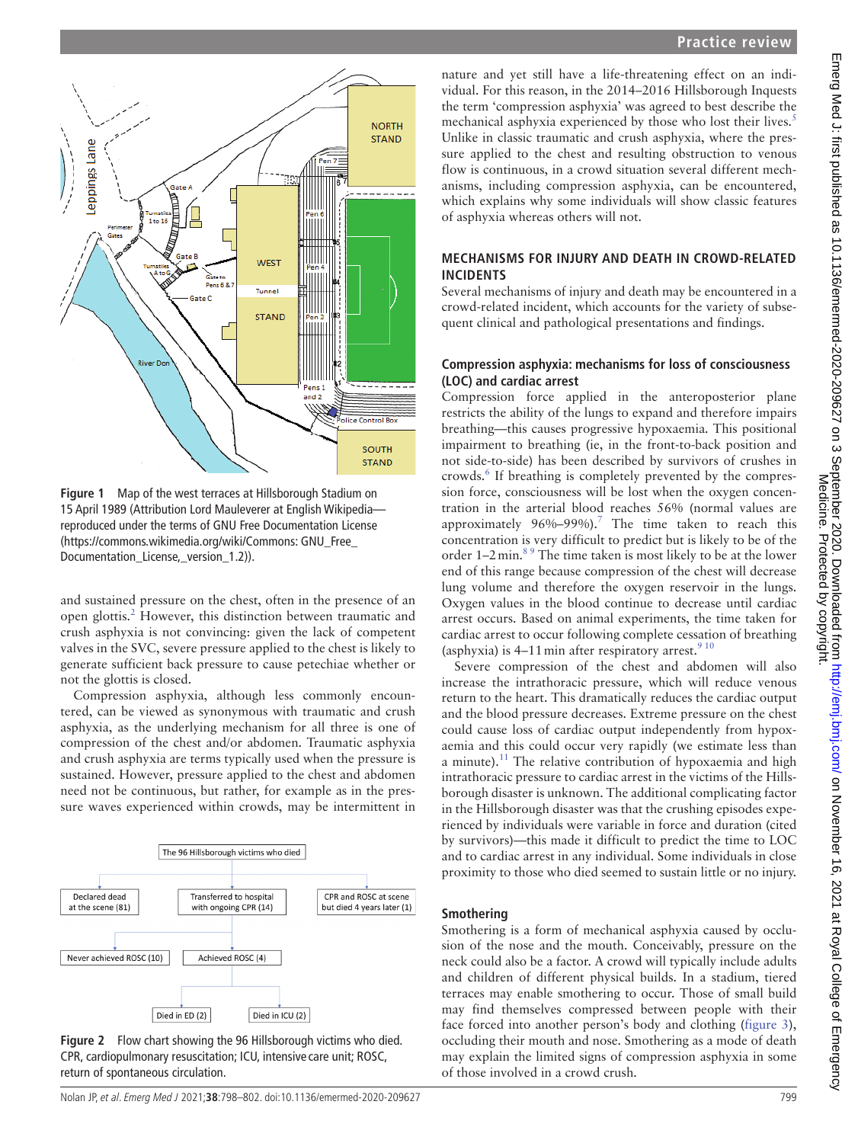



**Figure 1** Map of the west terraces at Hillsborough Stadium on 15 April 1989 (Attribution Lord Mauleverer at English Wikipedia reproduced under the terms of GNU Free Documentation License (https://commons.wikimedia.org/wiki/Commons: GNU\_Free\_ Documentation License, version 1.2)).

and sustained pressure on the chest, often in the presence of an open glottis.<sup>2</sup> However, this distinction between traumatic and crush asphyxia is not convincing: given the lack of competent valves in the SVC, severe pressure applied to the chest is likely to generate sufficient back pressure to cause petechiae whether or not the glottis is closed.

Compression asphyxia, although less commonly encountered, can be viewed as synonymous with traumatic and crush asphyxia, as the underlying mechanism for all three is one of compression of the chest and/or abdomen. Traumatic asphyxia and crush asphyxia are terms typically used when the pressure is sustained. However, pressure applied to the chest and abdomen need not be continuous, but rather, for example as in the pressure waves experienced within crowds, may be intermittent in





nature and yet still have a life-threatening effect on an individual. For this reason, in the 2014–2016 Hillsborough Inquests the term 'compression asphyxia' was agreed to best describe the mechanical asphyxia experienced by those who lost their lives.<sup>5</sup> Unlike in classic traumatic and crush asphyxia, where the pressure applied to the chest and resulting obstruction to venous flow is continuous, in a crowd situation several different mechanisms, including compression asphyxia, can be encountered, which explains why some individuals will show classic features of asphyxia whereas others will not.

#### **Mechanisms for injury and death in crowd-related incidents**

Several mechanisms of injury and death may be encountered in a crowd-related incident, which accounts for the variety of subsequent clinical and pathological presentations and findings.

#### **Compression asphyxia: mechanisms for loss of consciousness (LOC) and cardiac arrest**

Compression force applied in the anteroposterior plane restricts the ability of the lungs to expand and therefore impairs breathing—this causes progressive hypoxaemia. This positional impairment to breathing (ie, in the front-to-back position and not side-to-side) has been described by survivors of crushes in crowds.<sup>6</sup> If breathing is completely prevented by the compression force, consciousness will be lost when the oxygen concentration in the arterial blood reaches 56% (normal values are approximately  $96\% - 99\%$ ).<sup>7</sup> The time taken to reach this concentration is very difficult to predict but is likely to be of the order  $1-2$  min.<sup>8.9</sup> The time taken is most likely to be at the lower end of this range because compression of the chest will decrease lung volume and therefore the oxygen reservoir in the lungs. Oxygen values in the blood continue to decrease until cardiac arrest occurs. Based on animal experiments, the time taken for cardiac arrest to occur following complete cessation of breathing (asphyxia) is  $4-11$  min after respiratory arrest.<sup>910</sup>

Severe compression of the chest and abdomen will also increase the intrathoracic pressure, which will reduce venous return to the heart. This dramatically reduces the cardiac output and the blood pressure decreases. Extreme pressure on the chest could cause loss of cardiac output independently from hypoxaemia and this could occur very rapidly (we estimate less than a minute).<sup>11</sup> The relative contribution of hypoxaemia and high intrathoracic pressure to cardiac arrest in the victims of the Hillsborough disaster is unknown. The additional complicating factor in the Hillsborough disaster was that the crushing episodes experienced by individuals were variable in force and duration (cited by survivors)—this made it difficult to predict the time to LOC and to cardiac arrest in any individual. Some individuals in close proximity to those who died seemed to sustain little or no injury.

## **Smothering**

Smothering is a form of mechanical asphyxia caused by occlusion of the nose and the mouth. Conceivably, pressure on the neck could also be a factor. A crowd will typically include adults and children of different physical builds. In a stadium, tiered terraces may enable smothering to occur. Those of small build may find themselves compressed between people with their face forced into another person's body and clothing (figure 3), occluding their mouth and nose. Smothering as a mode of death may explain the limited signs of compression asphyxia in some of those involved in a crowd crush.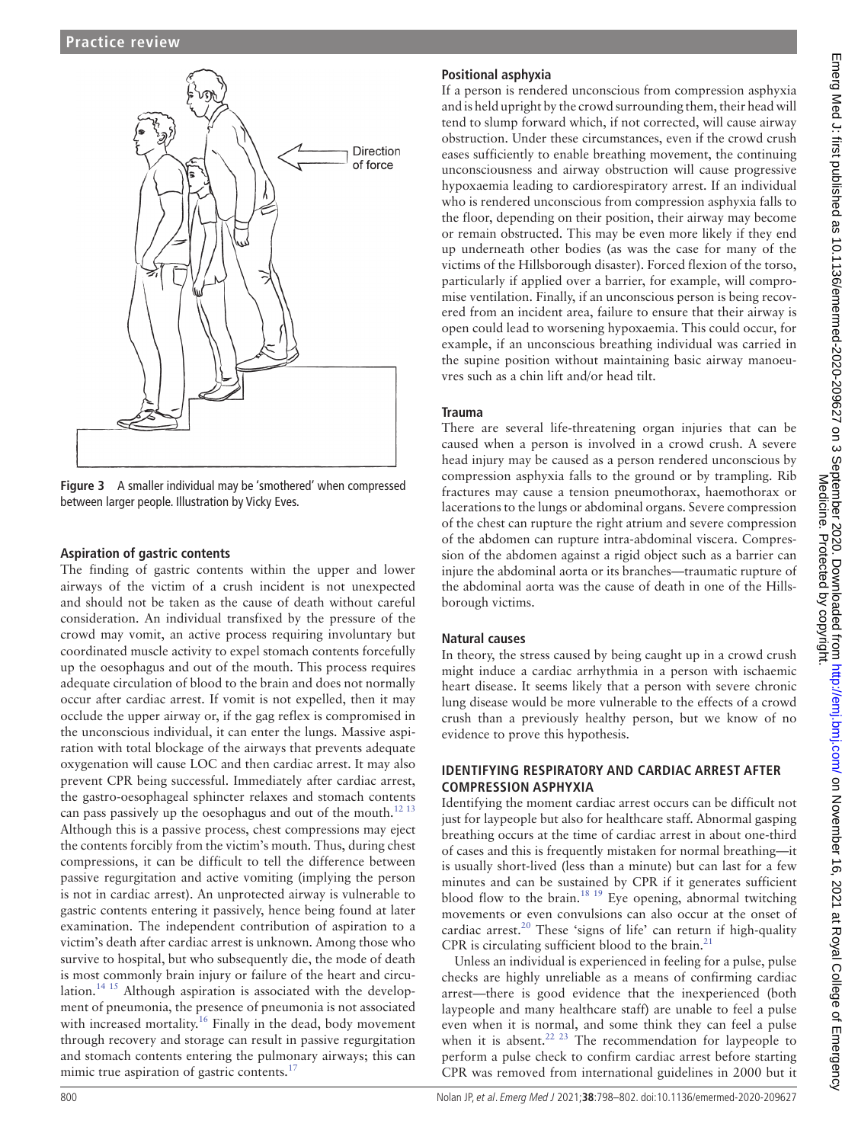

**Figure 3** A smaller individual may be 'smothered' when compressed between larger people. Illustration by Vicky Eves.

#### **Aspiration of gastric contents**

The finding of gastric contents within the upper and lower airways of the victim of a crush incident is not unexpected and should not be taken as the cause of death without careful consideration. An individual transfixed by the pressure of the crowd may vomit, an active process requiring involuntary but coordinated muscle activity to expel stomach contents forcefully up the oesophagus and out of the mouth. This process requires adequate circulation of blood to the brain and does not normally occur after cardiac arrest. If vomit is not expelled, then it may occlude the upper airway or, if the gag reflex is compromised in the unconscious individual, it can enter the lungs. Massive aspiration with total blockage of the airways that prevents adequate oxygenation will cause LOC and then cardiac arrest. It may also prevent CPR being successful. Immediately after cardiac arrest, the gastro-oesophageal sphincter relaxes and stomach contents can pass passively up the oesophagus and out of the mouth.<sup>12 13</sup> Although this is a passive process, chest compressions may eject the contents forcibly from the victim's mouth. Thus, during chest compressions, it can be difficult to tell the difference between passive regurgitation and active vomiting (implying the person is not in cardiac arrest). An unprotected airway is vulnerable to gastric contents entering it passively, hence being found at later examination. The independent contribution of aspiration to a victim's death after cardiac arrest is unknown. Among those who survive to hospital, but who subsequently die, the mode of death is most commonly brain injury or failure of the heart and circulation.<sup>14 15</sup> Although aspiration is associated with the development of pneumonia, the presence of pneumonia is not associated with increased mortality.<sup>16</sup> Finally in the dead, body movement through recovery and storage can result in passive regurgitation and stomach contents entering the pulmonary airways; this can mimic true aspiration of gastric contents.<sup>1</sup>

### **Positional asphyxia**

If a person is rendered unconscious from compression asphyxia and is held upright by the crowd surrounding them, their head will tend to slump forward which, if not corrected, will cause airway obstruction. Under these circumstances, even if the crowd crush eases sufficiently to enable breathing movement, the continuing unconsciousness and airway obstruction will cause progressive hypoxaemia leading to cardiorespiratory arrest. If an individual who is rendered unconscious from compression asphyxia falls to the floor, depending on their position, their airway may become or remain obstructed. This may be even more likely if they end up underneath other bodies (as was the case for many of the victims of the Hillsborough disaster). Forced flexion of the torso, particularly if applied over a barrier, for example, will compromise ventilation. Finally, if an unconscious person is being recovered from an incident area, failure to ensure that their airway is open could lead to worsening hypoxaemia. This could occur, for example, if an unconscious breathing individual was carried in the supine position without maintaining basic airway manoeuvres such as a chin lift and/or head tilt.

#### **Trauma**

There are several life-threatening organ injuries that can be caused when a person is involved in a crowd crush. A severe head injury may be caused as a person rendered unconscious by compression asphyxia falls to the ground or by trampling. Rib fractures may cause a tension pneumothorax, haemothorax or lacerations to the lungs or abdominal organs. Severe compression of the chest can rupture the right atrium and severe compression of the abdomen can rupture intra-abdominal viscera. Compression of the abdomen against a rigid object such as a barrier can injure the abdominal aorta or its branches—traumatic rupture of the abdominal aorta was the cause of death in one of the Hillsborough victims.

## **Natural causes**

In theory, the stress caused by being caught up in a crowd crush might induce a cardiac arrhythmia in a person with ischaemic heart disease. It seems likely that a person with severe chronic lung disease would be more vulnerable to the effects of a crowd crush than a previously healthy person, but we know of no evidence to prove this hypothesis.

# **Identifying respiratory and cardiac arrest after compression asphyxia**

Identifying the moment cardiac arrest occurs can be difficult not just for laypeople but also for healthcare staff. Abnormal gasping breathing occurs at the time of cardiac arrest in about one-third of cases and this is frequently mistaken for normal breathing—it is usually short-lived (less than a minute) but can last for a few minutes and can be sustained by CPR if it generates sufficient blood flow to the brain.<sup>18 19</sup> Eye opening, abnormal twitching movements or even convulsions can also occur at the onset of cardiac arrest.<sup>20</sup> These 'signs of life' can return if high-quality CPR is circulating sufficient blood to the brain. $^{21}$ 

Unless an individual is experienced in feeling for a pulse, pulse checks are highly unreliable as a means of confirming cardiac arrest—there is good evidence that the inexperienced (both laypeople and many healthcare staff) are unable to feel a pulse even when it is normal, and some think they can feel a pulse when it is absent.<sup>22 23</sup> The recommendation for laypeople to perform a pulse check to confirm cardiac arrest before starting CPR was removed from international guidelines in 2000 but it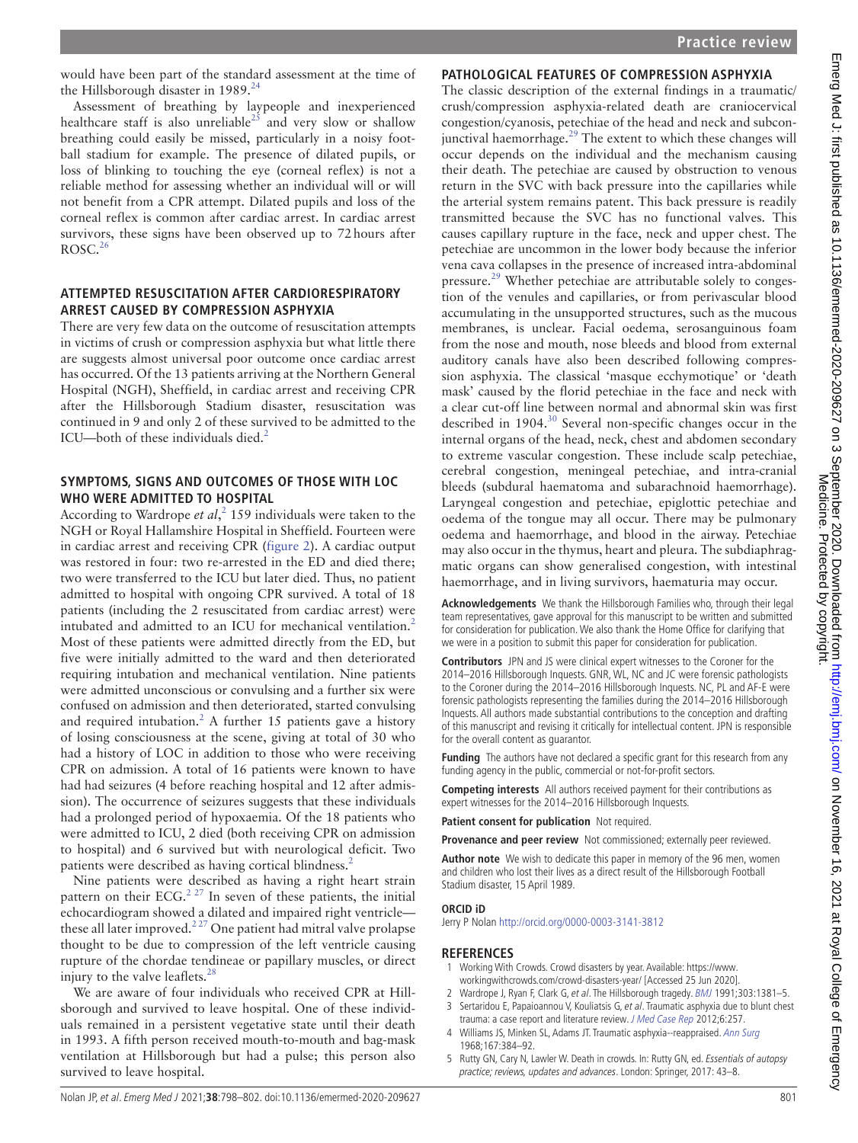would have been part of the standard assessment at the time of the Hillsborough disaster in 1989.<sup>24</sup>

Assessment of breathing by laypeople and inexperienced healthcare staff is also unreliable<sup>25</sup> and very slow or shallow breathing could easily be missed, particularly in a noisy football stadium for example. The presence of dilated pupils, or loss of blinking to touching the eye (corneal reflex) is not a reliable method for assessing whether an individual will or will not benefit from a CPR attempt. Dilated pupils and loss of the corneal reflex is common after cardiac arrest. In cardiac arrest survivors, these signs have been observed up to 72hours after ROSC.26

## **Attempted resuscitation after cardiorespiratory arrest caused by compression asphyxia**

There are very few data on the outcome of resuscitation attempts in victims of crush or compression asphyxia but what little there are suggests almost universal poor outcome once cardiac arrest has occurred. Of the 13 patients arriving at the Northern General Hospital (NGH), Sheffield, in cardiac arrest and receiving CPR after the Hillsborough Stadium disaster, resuscitation was continued in 9 and only 2 of these survived to be admitted to the ICU—both of these individuals died.<sup>2</sup>

### **Symptoms, signs and outcomes of those with LOC**  WHO WERE ADMITTED TO HOSPITAL

According to Wardrope *et al*, 2 159 individuals were taken to the NGH or Royal Hallamshire Hospital in Sheffield. Fourteen were in cardiac arrest and receiving CPR (figure 2). A cardiac output was restored in four: two re-arrested in the ED and died there; two were transferred to the ICU but later died. Thus, no patient admitted to hospital with ongoing CPR survived. A total of 18 patients (including the 2 resuscitated from cardiac arrest) were intubated and admitted to an ICU for mechanical ventilation.<sup>2</sup> Most of these patients were admitted directly from the ED, but five were initially admitted to the ward and then deteriorated requiring intubation and mechanical ventilation. Nine patients were admitted unconscious or convulsing and a further six were confused on admission and then deteriorated, started convulsing and required intubation.<sup>2</sup> A further 15 patients gave a history of losing consciousness at the scene, giving at total of 30 who had a history of LOC in addition to those who were receiving CPR on admission. A total of 16 patients were known to have had had seizures (4 before reaching hospital and 12 after admission). The occurrence of seizures suggests that these individuals had a prolonged period of hypoxaemia. Of the 18 patients who were admitted to ICU, 2 died (both receiving CPR on admission to hospital) and 6 survived but with neurological deficit. Two patients were described as having cortical blindness.<sup>2</sup>

Nine patients were described as having a right heart strain pattern on their ECG.<sup>2 27</sup> In seven of these patients, the initial echocardiogram showed a dilated and impaired right ventricle these all later improved.<sup>227</sup> One patient had mitral valve prolapse thought to be due to compression of the left ventricle causing rupture of the chordae tendineae or papillary muscles, or direct injury to the valve leaflets. $^{28}$ 

We are aware of four individuals who received CPR at Hillsborough and survived to leave hospital. One of these individuals remained in a persistent vegetative state until their death in 1993. A fifth person received mouth-to-mouth and bag-mask ventilation at Hillsborough but had a pulse; this person also survived to leave hospital.

# **Path ological features of compression asphyxia**

The classic description of the external findings in a traumatic/ crush/compression asphyxia-related death are craniocervical congestion/cyanosis, petechiae of the head and neck and subconjunctival haemorrhage. $29$  The extent to which these changes will occur depends on the individual and the mechanism causing their death. The petechiae are caused by obstruction to venous return in the SVC with back pressure into the capillaries while the arterial system remains patent. This back pressure is readily transmitted because the SVC has no functional valves. This causes capillary rupture in the face, neck and upper chest. The petechiae are uncommon in the lower body because the inferior vena cava collapses in the presence of increased intra-abdominal pressure.29 Whether petechiae are attributable solely to congestion of the venules and capillaries, or from perivascular blood accumulating in the unsupported structures, such as the mucous membranes, is unclear. Facial oedema, serosanguinous foam from the nose and mouth, nose bleeds and blood from external auditory canals have also been described following compression asphyxia. The classical 'masque ecchymotique' or 'death mask' caused by the florid petechiae in the face and neck with a clear cut-off line between normal and abnormal skin was first described in 1904.<sup>30</sup> Several non-specific changes occur in the internal organs of the head, neck, chest and abdomen secondary to extreme vascular congestion. These include scalp petechiae, cerebral congestion, meningeal petechiae, and intra-cranial bleeds (subdural haematoma and subarachnoid haemorrhage). Laryngeal congestion and petechiae, epiglottic petechiae and oedema of the tongue may all occur. There may be pulmonary oedema and haemorrhage, and blood in the airway. Petechiae may also occur in the thymus, heart and pleura. The subdiaphragmatic organs can show generalised congestion, with intestinal haemorrhage, and in living survivors, haematuria may occur.

**Acknowledgements** We thank the Hillsborough Families who, through their legal team representatives, gave approval for this manuscript to be written and submitted for consideration for publication. We also thank the Home Office for clarifying that we were in a position to submit this paper for consideration for publication.

**Contributors** JPN and JS were clinical expert witnesses to the Coroner for the 2014–2016 Hillsborough Inquests. GNR, WL, NC and JC were forensic pathologists to the Coroner during the 2014–2016 Hillsborough Inquests. NC, PL and AF-E were forensic pathologists representing the families during the 2014–2016 Hillsborough Inquests. All authors made substantial contributions to the conception and drafting of this manuscript and revising it critically for intellectual content. JPN is responsible for the overall content as guarantor.

**Funding** The authors have not declared a specific grant for this research from any funding agency in the public, commercial or not-for-profit sectors.

**Competing interests** All authors received payment for their contributions as expert witnesses for the 2014–2016 Hillsborough Inquests.

**Patient consent for publication** Not required.

**Provenance and peer review** Not commissioned; externally peer reviewed.

**Author note** We wish to dedicate this paper in memory of the 96 men, women and children who lost their lives as a direct result of the Hillsborough Football Stadium disaster, 15 April 1989.

#### **ORCID iD**

Jerry P Nolan http://orcid.org/0000-0003-3141-3812

#### **References**

- 1 Working With Crowds. Crowd disasters by year. Available: https://www. workingwithcrowds.com/crowd-disasters-year/ [Accessed 25 Jun 2020].
- 2 Wardrope J, Ryan F, Clark G, et al. The Hillsborough tragedy. BMJ 1991;303:1381-5. 3 Sertaridou E, Papaioannou V, Kouliatsis G, et al. Traumatic asphyxia due to blunt chest
- trauma: a case report and literature review. J Med Case Rep 2012;6:257.
- Williams JS, Minken SL, Adams JT. Traumatic asphyxia--reappraised. Ann Surg 1968;167:384–92.
- 5 Rutty GN, Cary N, Lawler W. Death in crowds. In: Rutty GN, ed. Essentials of autopsy practice; reviews, updates and advances. London: Springer, 2017: 43–8.